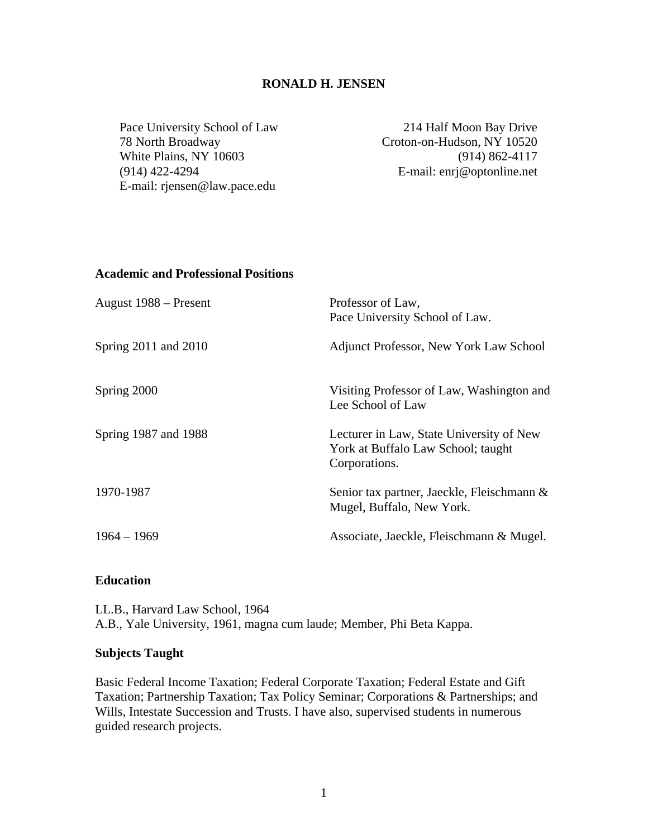## **RONALD H. JENSEN**

Pace University School of Law 78 North Broadway White Plains, NY 10603 (914) 422-4294 E-mail: rjensen@law.pace.edu

214 Half Moon Bay Drive Croton-on-Hudson, NY 10520 (914) 862-4117 E-mail: enrj@optonline.net

### **Academic and Professional Positions**

| August 1988 – Present | Professor of Law,<br>Pace University School of Law.                                             |
|-----------------------|-------------------------------------------------------------------------------------------------|
| Spring 2011 and 2010  | Adjunct Professor, New York Law School                                                          |
| Spring 2000           | Visiting Professor of Law, Washington and<br>Lee School of Law                                  |
| Spring 1987 and 1988  | Lecturer in Law, State University of New<br>York at Buffalo Law School; taught<br>Corporations. |
| 1970-1987             | Senior tax partner, Jaeckle, Fleischmann &<br>Mugel, Buffalo, New York.                         |
| $1964 - 1969$         | Associate, Jaeckle, Fleischmann & Mugel.                                                        |

## **Education**

LL.B., Harvard Law School, 1964 A.B., Yale University, 1961, magna cum laude; Member, Phi Beta Kappa.

### **Subjects Taught**

Basic Federal Income Taxation; Federal Corporate Taxation; Federal Estate and Gift Taxation; Partnership Taxation; Tax Policy Seminar; Corporations & Partnerships; and Wills, Intestate Succession and Trusts. I have also, supervised students in numerous guided research projects.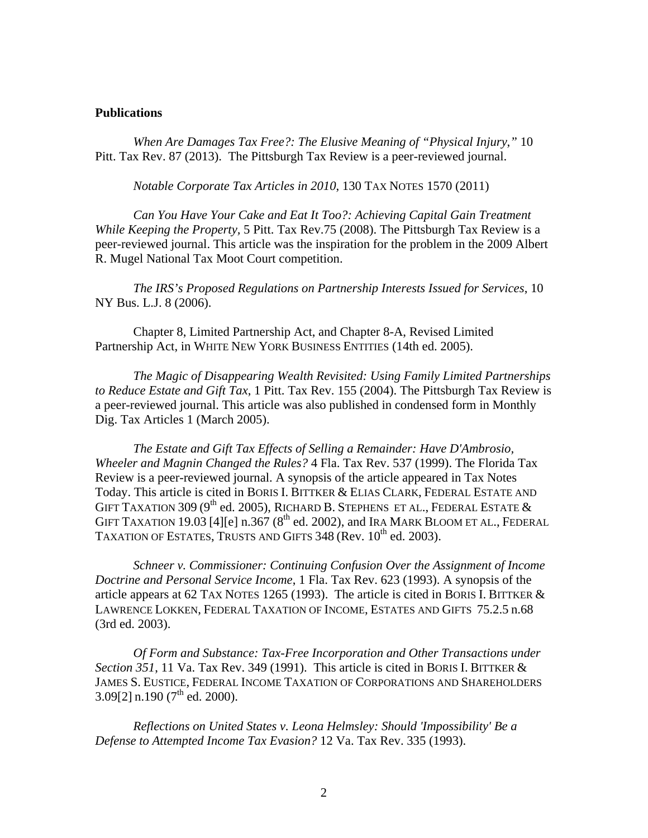#### **Publications**

*When Are Damages Tax Free?: The Elusive Meaning of "Physical Injury*,*"* 10 Pitt. Tax Rev. 87 (2013). The Pittsburgh Tax Review is a peer-reviewed journal.

*Notable Corporate Tax Articles in 2010*, 130 TAX NOTES 1570 (2011)

*Can You Have Your Cake and Eat It Too?: Achieving Capital Gain Treatment While Keeping the Property,* 5 Pitt. Tax Rev.75 (2008). The Pittsburgh Tax Review is a peer-reviewed journal. This article was the inspiration for the problem in the 2009 Albert R. Mugel National Tax Moot Court competition.

*The IRS's Proposed Regulations on Partnership Interests Issued for Services*, 10 NY Bus. L.J. 8 (2006).

 Chapter 8, Limited Partnership Act, and Chapter 8-A, Revised Limited Partnership Act, in WHITE NEW YORK BUSINESS ENTITIES (14th ed. 2005).

 *The Magic of Disappearing Wealth Revisited: Using Family Limited Partnerships to Reduce Estate and Gift Tax*, 1 Pitt. Tax Rev. 155 (2004). The Pittsburgh Tax Review is a peer-reviewed journal. This article was also published in condensed form in Monthly Dig. Tax Articles 1 (March 2005).

*The Estate and Gift Tax Effects of Selling a Remainder: Have D'Ambrosio, Wheeler and Magnin Changed the Rules?* 4 Fla. Tax Rev. 537 (1999). The Florida Tax Review is a peer-reviewed journal. A synopsis of the article appeared in Tax Notes Today. This article is cited in BORIS I. BITTKER & ELIAS CLARK, FEDERAL ESTATE AND GIFT TAXATION 309 (9<sup>th</sup> ed. 2005), RICHARD B. STEPHENS ET AL., FEDERAL ESTATE  $\&$ GIFT TAXATION 19.03 [4][e]  $n.367$  (8<sup>th</sup> ed. 2002), and IRA MARK BLOOM ET AL., FEDERAL TAXATION OF ESTATES, TRUSTS AND GIFTS  $348$  (Rev.  $10^{th}$  ed. 2003).

*Schneer v. Commissioner: Continuing Confusion Over the Assignment of Income Doctrine and Personal Service Income*, 1 Fla. Tax Rev. 623 (1993). A synopsis of the article appears at 62 TAX NOTES 1265 (1993). The article is cited in BORIS I. BITTKER  $&$ LAWRENCE LOKKEN, FEDERAL TAXATION OF INCOME, ESTATES AND GIFTS 75.2.5 n.68 (3rd ed. 2003).

*Of Form and Substance: Tax-Free Incorporation and Other Transactions under Section 351*, 11 Va. Tax Rev. 349 (1991). This article is cited in BORIS I. BITTKER & JAMES S. EUSTICE, FEDERAL INCOME TAXATION OF CORPORATIONS AND SHAREHOLDERS  $3.09[2]$  n.190 (7<sup>th</sup> ed. 2000).

*Reflections on United States v. Leona Helmsley: Should 'Impossibility' Be a Defense to Attempted Income Tax Evasion?* 12 Va. Tax Rev. 335 (1993).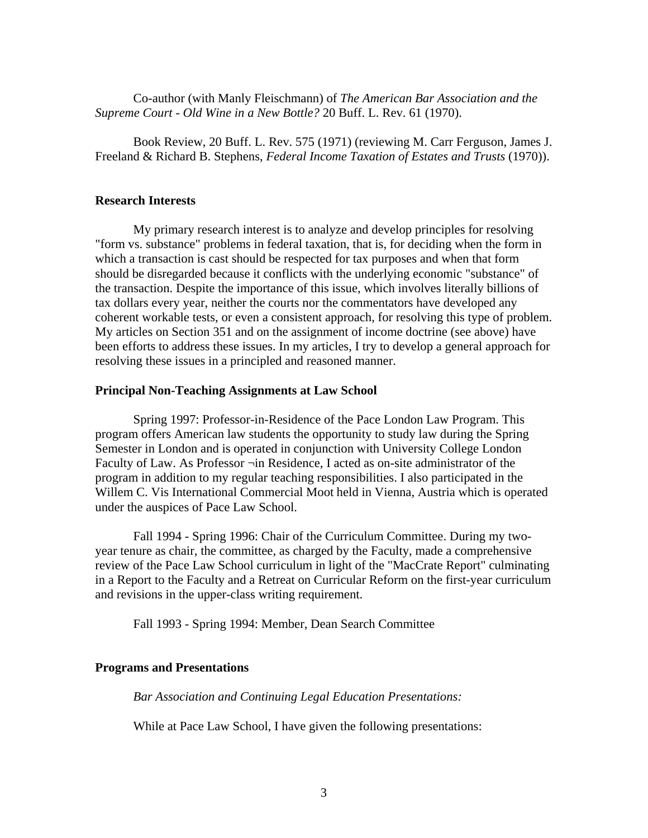Co-author (with Manly Fleischmann) of *The American Bar Association and the Supreme Court - Old Wine in a New Bottle?* 20 Buff. L. Rev. 61 (1970).

Book Review, 20 Buff. L. Rev. 575 (1971) (reviewing M. Carr Ferguson, James J. Freeland & Richard B. Stephens, *Federal Income Taxation of Estates and Trusts* (1970)).

### **Research Interests**

My primary research interest is to analyze and develop principles for resolving "form vs. substance" problems in federal taxation, that is, for deciding when the form in which a transaction is cast should be respected for tax purposes and when that form should be disregarded because it conflicts with the underlying economic "substance" of the transaction. Despite the importance of this issue, which involves literally billions of tax dollars every year, neither the courts nor the commentators have developed any coherent workable tests, or even a consistent approach, for resolving this type of problem. My articles on Section 351 and on the assignment of income doctrine (see above) have been efforts to address these issues. In my articles, I try to develop a general approach for resolving these issues in a principled and reasoned manner.

### **Principal Non-Teaching Assignments at Law School**

Spring 1997: Professor-in-Residence of the Pace London Law Program. This program offers American law students the opportunity to study law during the Spring Semester in London and is operated in conjunction with University College London Faculty of Law. As Professor ¬in Residence, I acted as on-site administrator of the program in addition to my regular teaching responsibilities. I also participated in the Willem C. Vis International Commercial Moot held in Vienna, Austria which is operated under the auspices of Pace Law School.

Fall 1994 - Spring 1996: Chair of the Curriculum Committee. During my twoyear tenure as chair, the committee, as charged by the Faculty, made a comprehensive review of the Pace Law School curriculum in light of the "MacCrate Report" culminating in a Report to the Faculty and a Retreat on Curricular Reform on the first-year curriculum and revisions in the upper-class writing requirement.

Fall 1993 - Spring 1994: Member, Dean Search Committee

### **Programs and Presentations**

*Bar Association and Continuing Legal Education Presentations:* 

While at Pace Law School, I have given the following presentations: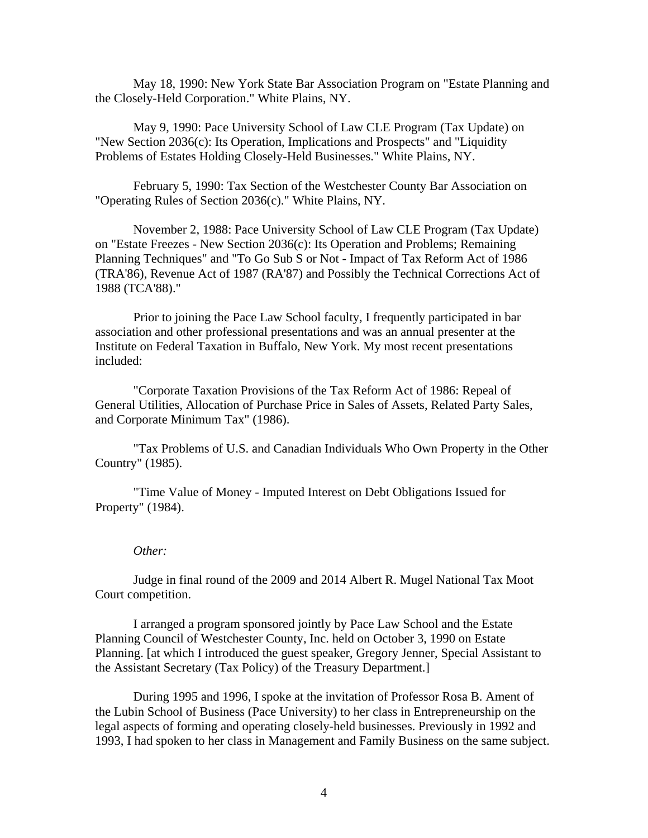May 18, 1990: New York State Bar Association Program on "Estate Planning and the Closely-Held Corporation." White Plains, NY.

May 9, 1990: Pace University School of Law CLE Program (Tax Update) on "New Section 2036(c): Its Operation, Implications and Prospects" and "Liquidity Problems of Estates Holding Closely-Held Businesses." White Plains, NY.

February 5, 1990: Tax Section of the Westchester County Bar Association on "Operating Rules of Section 2036(c)." White Plains, NY.

November 2, 1988: Pace University School of Law CLE Program (Tax Update) on "Estate Freezes - New Section 2036(c): Its Operation and Problems; Remaining Planning Techniques" and "To Go Sub S or Not - Impact of Tax Reform Act of 1986 (TRA'86), Revenue Act of 1987 (RA'87) and Possibly the Technical Corrections Act of 1988 (TCA'88)."

Prior to joining the Pace Law School faculty, I frequently participated in bar association and other professional presentations and was an annual presenter at the Institute on Federal Taxation in Buffalo, New York. My most recent presentations included:

"Corporate Taxation Provisions of the Tax Reform Act of 1986: Repeal of General Utilities, Allocation of Purchase Price in Sales of Assets, Related Party Sales, and Corporate Minimum Tax" (1986).

"Tax Problems of U.S. and Canadian Individuals Who Own Property in the Other Country" (1985).

"Time Value of Money - Imputed Interest on Debt Obligations Issued for Property" (1984).

#### *Other:*

Judge in final round of the 2009 and 2014 Albert R. Mugel National Tax Moot Court competition.

I arranged a program sponsored jointly by Pace Law School and the Estate Planning Council of Westchester County, Inc. held on October 3, 1990 on Estate Planning. [at which I introduced the guest speaker, Gregory Jenner, Special Assistant to the Assistant Secretary (Tax Policy) of the Treasury Department.]

During 1995 and 1996, I spoke at the invitation of Professor Rosa B. Ament of the Lubin School of Business (Pace University) to her class in Entrepreneurship on the legal aspects of forming and operating closely-held businesses. Previously in 1992 and 1993, I had spoken to her class in Management and Family Business on the same subject.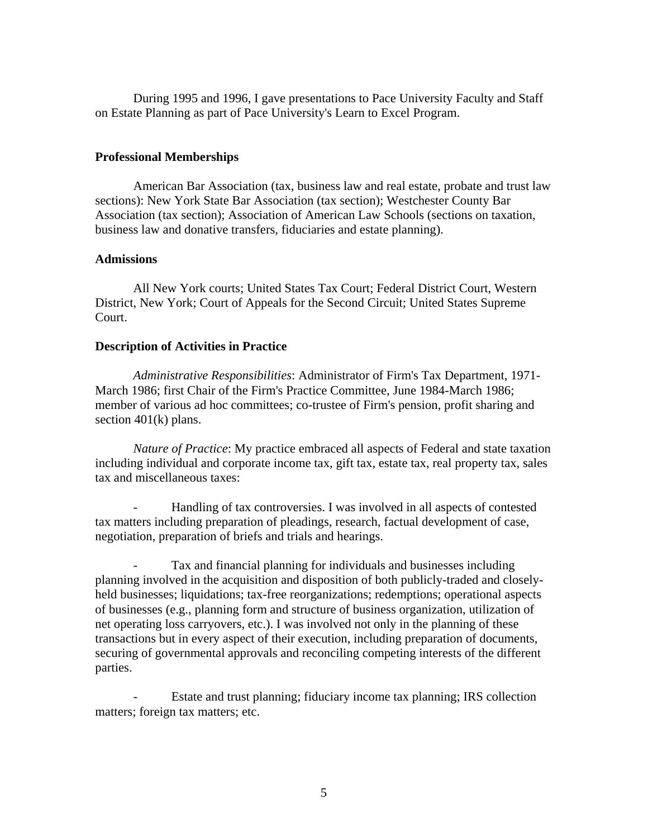During 1995 and 1996, I gave presentations to Pace University Faculty and Staff on Estate Planning as part of Pace University's Learn to Excel Program.

# **Professional Memberships**

American Bar Association (tax, business law and real estate, probate and trust law sections): New York State Bar Association (tax section); Westchester County Bar Association (tax section); Association of American Law Schools (sections on taxation, business law and donative transfers, fiduciaries and estate planning).

## **Admissions**

All New York courts; United States Tax Court; Federal District Court, Western District, New York; Court of Appeals for the Second Circuit; United States Supreme Court.

## **Description of Activities in Practice**

*Administrative Responsibilities*: Administrator of Firm's Tax Department, 1971- March 1986; first Chair of the Firm's Practice Committee, June 1984-March 1986; member of various ad hoc committees; co-trustee of Firm's pension, profit sharing and section  $401(k)$  plans.

*Nature of Practice*: My practice embraced all aspects of Federal and state taxation including individual and corporate income tax, gift tax, estate tax, real property tax, sales tax and miscellaneous taxes:

Handling of tax controversies. I was involved in all aspects of contested tax matters including preparation of pleadings, research, factual development of case, negotiation, preparation of briefs and trials and hearings.

Tax and financial planning for individuals and businesses including planning involved in the acquisition and disposition of both publicly-traded and closelyheld businesses; liquidations; tax-free reorganizations; redemptions; operational aspects of businesses (e.g., planning form and structure of business organization, utilization of net operating loss carryovers, etc.). I was involved not only in the planning of these transactions but in every aspect of their execution, including preparation of documents, securing of governmental approvals and reconciling competing interests of the different parties.

Estate and trust planning; fiduciary income tax planning; IRS collection matters; foreign tax matters; etc.